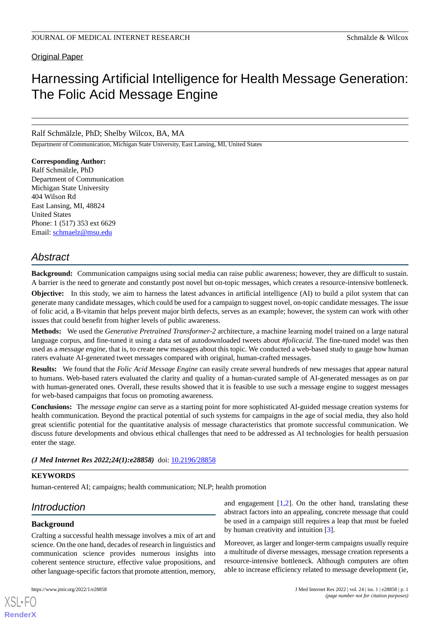# **Original Paper**

# Harnessing Artificial Intelligence for Health Message Generation: The Folic Acid Message Engine

Ralf Schmälzle, PhD; Shelby Wilcox, BA, MA

Department of Communication, Michigan State University, East Lansing, MI, United States

# **Corresponding Author:**

Ralf Schmälzle, PhD Department of Communication Michigan State University 404 Wilson Rd East Lansing, MI, 48824 United States Phone: 1 (517) 353 ext 6629 Email: [schmaelz@msu.edu](mailto:schmaelz@msu.edu)

# *Abstract*

**Background:** Communication campaigns using social media can raise public awareness; however, they are difficult to sustain. A barrier is the need to generate and constantly post novel but on-topic messages, which creates a resource-intensive bottleneck.

**Objective:** In this study, we aim to harness the latest advances in artificial intelligence (AI) to build a pilot system that can generate many candidate messages, which could be used for a campaign to suggest novel, on-topic candidate messages. The issue of folic acid, a B-vitamin that helps prevent major birth defects, serves as an example; however, the system can work with other issues that could benefit from higher levels of public awareness.

**Methods:** We used the *Generative Pretrained Transformer-2* architecture, a machine learning model trained on a large natural language corpus, and fine-tuned it using a data set of autodownloaded tweets about *#folicacid*. The fine-tuned model was then used as a *message engine*, that is, to create new messages about this topic. We conducted a web-based study to gauge how human raters evaluate AI-generated tweet messages compared with original, human-crafted messages.

**Results:** We found that the *Folic Acid Message Engine* can easily create several hundreds of new messages that appear natural to humans. Web-based raters evaluated the clarity and quality of a human-curated sample of AI-generated messages as on par with human-generated ones. Overall, these results showed that it is feasible to use such a message engine to suggest messages for web-based campaigns that focus on promoting awareness.

**Conclusions:** The *message engine* can serve as a starting point for more sophisticated AI-guided message creation systems for health communication. Beyond the practical potential of such systems for campaigns in the age of social media, they also hold great scientific potential for the quantitative analysis of message characteristics that promote successful communication. We discuss future developments and obvious ethical challenges that need to be addressed as AI technologies for health persuasion enter the stage.

*(J Med Internet Res 2022;24(1):e28858)* doi:  $10.2196/28858$ 

### **KEYWORDS**

human-centered AI; campaigns; health communication; NLP; health promotion

# *Introduction*

# **Background**

[XSL](http://www.w3.org/Style/XSL)•FO **[RenderX](http://www.renderx.com/)**

Crafting a successful health message involves a mix of art and science. On the one hand, decades of research in linguistics and communication science provides numerous insights into coherent sentence structure, effective value propositions, and other language-specific factors that promote attention, memory,

and engagement  $[1,2]$  $[1,2]$  $[1,2]$ . On the other hand, translating these abstract factors into an appealing, concrete message that could be used in a campaign still requires a leap that must be fueled by human creativity and intuition [\[3\]](#page-9-2).

Moreover, as larger and longer-term campaigns usually require a multitude of diverse messages, message creation represents a resource-intensive bottleneck. Although computers are often able to increase efficiency related to message development (ie,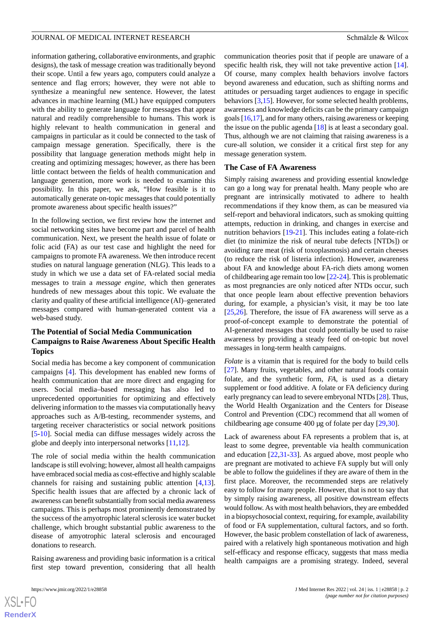information gathering, collaborative environments, and graphic designs), the task of message creation was traditionally beyond their scope. Until a few years ago, computers could analyze a sentence and flag errors; however, they were not able to synthesize a meaningful new sentence. However, the latest advances in machine learning (ML) have equipped computers with the ability to generate language for messages that appear natural and readily comprehensible to humans. This work is highly relevant to health communication in general and campaigns in particular as it could be connected to the task of campaign message generation. Specifically, there is the possibility that language generation methods might help in creating and optimizing messages; however, as there has been little contact between the fields of health communication and language generation, more work is needed to examine this possibility. In this paper, we ask, "How feasible is it to automatically generate on-topic messages that could potentially promote awareness about specific health issues?"

In the following section, we first review how the internet and social networking sites have become part and parcel of health communication. Next, we present the health issue of folate or folic acid (FA) as our test case and highlight the need for campaigns to promote FA awareness. We then introduce recent studies on natural language generation (NLG). This leads to a study in which we use a data set of FA-related social media messages to train a *message engine,* which then generates hundreds of new messages about this topic. We evaluate the clarity and quality of these artificial intelligence (AI)–generated messages compared with human-generated content via a web-based study.

# **The Potential of Social Media Communication Campaigns to Raise Awareness About Specific Health Topics**

Social media has become a key component of communication campaigns [\[4\]](#page-9-3). This development has enabled new forms of health communication that are more direct and engaging for users. Social media–based messaging has also led to unprecedented opportunities for optimizing and effectively delivering information to the masses via computationally heavy approaches such as A/B-testing, recommender systems, and targeting receiver characteristics or social network positions [[5](#page-9-4)[-10](#page-9-5)]. Social media can diffuse messages widely across the globe and deeply into interpersonal networks [\[11](#page-9-6),[12](#page-9-7)].

The role of social media within the health communication landscape is still evolving; however, almost all health campaigns have embraced social media as cost-effective and highly scalable channels for raising and sustaining public attention [\[4](#page-9-3),[13\]](#page-10-0). Specific health issues that are affected by a chronic lack of awareness can benefit substantially from social media awareness campaigns. This is perhaps most prominently demonstrated by the success of the amyotrophic lateral sclerosis ice water bucket challenge, which brought substantial public awareness to the disease of amyotrophic lateral sclerosis and encouraged donations to research.

Raising awareness and providing basic information is a critical first step toward prevention, considering that all health

communication theories posit that if people are unaware of a specific health risk, they will not take preventive action [[14\]](#page-10-1). Of course, many complex health behaviors involve factors beyond awareness and education, such as shifting norms and attitudes or persuading target audiences to engage in specific behaviors [\[3](#page-9-2),[15\]](#page-10-2). However, for some selected health problems, awareness and knowledge deficits can be the primary campaign goals [[16](#page-10-3),[17\]](#page-10-4), and for many others, raising awareness or keeping the issue on the public agenda [[18\]](#page-10-5) is at least a secondary goal. Thus, although we are not claiming that raising awareness is a cure-all solution, we consider it a critical first step for any message generation system.

### **The Case of FA Awareness**

Simply raising awareness and providing essential knowledge can go a long way for prenatal health. Many people who are pregnant are intrinsically motivated to adhere to health recommendations if they know them, as can be measured via self-report and behavioral indicators, such as smoking quitting attempts, reduction in drinking, and changes in exercise and nutrition behaviors [\[19](#page-10-6)-[21\]](#page-10-7). This includes eating a folate-rich diet (to minimize the risk of neural tube defects [NTDs]) or avoiding rare meat (risk of toxoplasmosis) and certain cheeses (to reduce the risk of listeria infection). However, awareness about FA and knowledge about FA-rich diets among women of childbearing age remain too low [[22-](#page-10-8)[24](#page-10-9)]. This is problematic as most pregnancies are only noticed after NTDs occur, such that once people learn about effective prevention behaviors during, for example, a physician's visit, it may be too late [[25,](#page-10-10)[26\]](#page-10-11). Therefore, the issue of FA awareness will serve as a proof-of-concept example to demonstrate the potential of AI-generated messages that could potentially be used to raise awareness by providing a steady feed of on-topic but novel messages in long-term health campaigns.

*Folate* is a vitamin that is required for the body to build cells [[27\]](#page-10-12). Many fruits, vegetables, and other natural foods contain folate, and the synthetic form, *FA*, is used as a dietary supplement or food additive. A folate or FA deficiency during early pregnancy can lead to severe embryonal NTDs [[28\]](#page-10-13). Thus, the World Health Organization and the Centers for Disease Control and Prevention (CDC) recommend that all women of childbearing age consume 400 µg of folate per day [\[29](#page-10-14),[30\]](#page-10-15).

Lack of awareness about FA represents a problem that is, at least to some degree, preventable via health communication and education [\[22](#page-10-8),[31-](#page-10-16)[33\]](#page-10-17). As argued above, most people who are pregnant are motivated to achieve FA supply but will only be able to follow the guidelines if they are aware of them in the first place. Moreover, the recommended steps are relatively easy to follow for many people. However, that is not to say that by simply raising awareness, all positive downstream effects would follow. As with most health behaviors, they are embedded in a biopsychosocial context, requiring, for example, availability of food or FA supplementation, cultural factors, and so forth. However, the basic problem constellation of lack of awareness, paired with a relatively high spontaneous motivation and high self-efficacy and response efficacy, suggests that mass media health campaigns are a promising strategy. Indeed, several

 $XS$ -FO **[RenderX](http://www.renderx.com/)**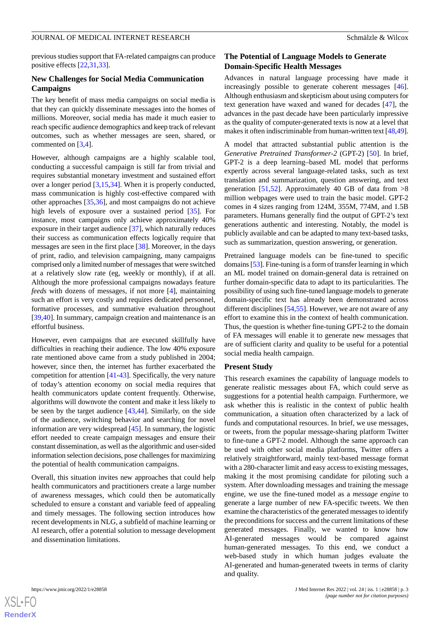previous studies support that FA-related campaigns can produce positive effects [\[22](#page-10-8)[,31](#page-10-16),[33\]](#page-10-17).

### **New Challenges for Social Media Communication Campaigns**

The key benefit of mass media campaigns on social media is that they can quickly disseminate messages into the homes of millions. Moreover, social media has made it much easier to reach specific audience demographics and keep track of relevant outcomes, such as whether messages are seen, shared, or commented on [[3](#page-9-2)[,4](#page-9-3)].

However, although campaigns are a highly scalable tool, conducting a successful campaign is still far from trivial and requires substantial monetary investment and sustained effort over a longer period [\[3](#page-9-2),[15,](#page-10-2)[34](#page-10-18)]. When it is properly conducted, mass communication is highly cost-effective compared with other approaches [[35,](#page-10-19)[36\]](#page-10-20), and most campaigns do not achieve high levels of exposure over a sustained period [[35\]](#page-10-19). For instance, most campaigns only achieve approximately 40% exposure in their target audience [\[37](#page-10-21)], which naturally reduces their success as communication effects logically require that messages are seen in the first place [[38\]](#page-10-22). Moreover, in the days of print, radio, and television campaigning, many campaigns comprised only a limited number of messages that were switched at a relatively slow rate (eg, weekly or monthly), if at all. Although the more professional campaigns nowadays feature *feeds* with dozens of messages, if not more [\[4](#page-9-3)], maintaining such an effort is very costly and requires dedicated personnel, formative processes, and summative evaluation throughout [[39](#page-11-0)[,40](#page-11-1)]. In summary, campaign creation and maintenance is an effortful business.

However, even campaigns that are executed skillfully have difficulties in reaching their audience. The low 40% exposure rate mentioned above came from a study published in 2004; however, since then, the internet has further exacerbated the competition for attention [[41](#page-11-2)[-43](#page-11-3)]. Specifically, the very nature of today's attention economy on social media requires that health communicators update content frequently. Otherwise, algorithms will downvote the content and make it less likely to be seen by the target audience [[43](#page-11-3)[,44](#page-11-4)]. Similarly, on the side of the audience, switching behavior and searching for novel information are very widespread [[45\]](#page-11-5). In summary, the logistic effort needed to create campaign messages and ensure their constant dissemination, as well as the algorithmic and user-sided information selection decisions, pose challenges for maximizing the potential of health communication campaigns.

Overall, this situation invites new approaches that could help health communicators and practitioners create a large number of awareness messages, which could then be automatically scheduled to ensure a constant and variable feed of appealing and timely messages. The following section introduces how recent developments in NLG, a subfield of machine learning or AI research, offer a potential solution to message development and dissemination limitations.

# **The Potential of Language Models to Generate Domain-Specific Health Messages**

Advances in natural language processing have made it increasingly possible to generate coherent messages [[46\]](#page-11-6). Although enthusiasm and skepticism about using computers for text generation have waxed and waned for decades [\[47](#page-11-7)], the advances in the past decade have been particularly impressive as the quality of computer-generated texts is now at a level that makes it often indiscriminable from human-written text [[48,](#page-11-8)[49\]](#page-11-9).

A model that attracted substantial public attention is the *Generative Pretrained Transformer-2* (GPT-2) [[50\]](#page-11-10). In brief, GPT-2 is a deep learning–based ML model that performs expertly across several language-related tasks, such as text translation and summarization, question answering, and text generation [[51,](#page-11-11)[52](#page-11-12)]. Approximately 40 GB of data from  $>8$ million webpages were used to train the basic model. GPT-2 comes in 4 sizes ranging from 124M, 355M, 774M, and 1.5B parameters. Humans generally find the output of GPT-2's text generations authentic and interesting. Notably, the model is publicly available and can be adapted to many text-based tasks, such as summarization, question answering, or generation.

Pretrained language models can be fine-tuned to specific domains [\[53\]](#page-11-13). Fine-tuning is a form of transfer learning in which an ML model trained on domain-general data is retrained on further domain-specific data to adapt to its particularities. The possibility of using such fine-tuned language models to generate domain-specific text has already been demonstrated across different disciplines [\[54](#page-11-14),[55\]](#page-11-15). However, we are not aware of any effort to examine this in the context of health communication. Thus, the question is whether fine-tuning GPT-2 to the domain of FA messages will enable it to generate new messages that are of sufficient clarity and quality to be useful for a potential social media health campaign.

### **Present Study**

This research examines the capability of language models to generate realistic messages about FA, which could serve as suggestions for a potential health campaign. Furthermore, we ask whether this is realistic in the context of public health communication, a situation often characterized by a lack of funds and computational resources. In brief, we use messages, or tweets, from the popular message-sharing platform Twitter to fine-tune a GPT-2 model. Although the same approach can be used with other social media platforms, Twitter offers a relatively straightforward, mainly text-based message format with a 280-character limit and easy access to existing messages, making it the most promising candidate for piloting such a system. After downloading messages and training the message engine, we use the fine-tuned model as a *message engine* to generate a large number of new FA-specific tweets. We then examine the characteristics of the generated messages to identify the preconditions for success and the current limitations of these generated messages. Finally, we wanted to know how AI-generated messages would be compared against human-generated messages. To this end, we conduct a web-based study in which human judges evaluate the AI-generated and human-generated tweets in terms of clarity and quality.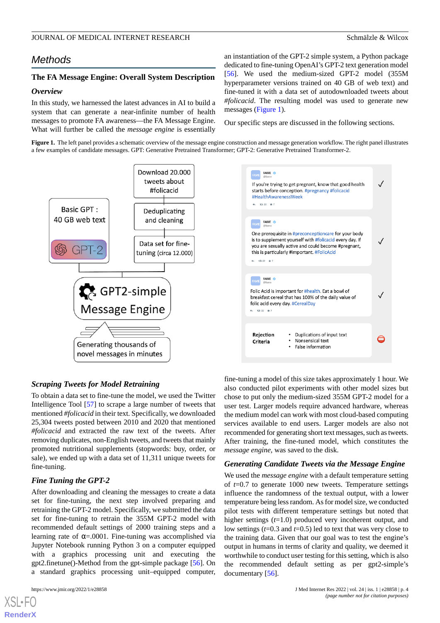# *Methods*

# **The FA Message Engine: Overall System Description**

### *Overview*

In this study, we harnessed the latest advances in AI to build a system that can generate a near-infinite number of health messages to promote FA awareness—the FA Message Engine. What will further be called the *message engine* is essentially

an instantiation of the GPT-2 simple system, a Python package dedicated to fine-tuning OpenAI's GPT-2 text generation model [[56\]](#page-11-16). We used the medium-sized GPT-2 model (355M hyperparameter versions trained on 40 GB of web text) and fine-tuned it with a data set of autodownloaded tweets about *#folicacid*. The resulting model was used to generate new messages [\(Figure 1\)](#page-3-0).

Our specific steps are discussed in the following sections.

<span id="page-3-0"></span>**Figure 1.** The left panel provides a schematic overview of the message engine construction and message generation workflow. The right panel illustrates a few examples of candidate messages. GPT: Generative Pretrained Transformer; GPT-2: Generative Pretrained Transformer-2.



## *Scraping Tweets for Model Retraining*

To obtain a data set to fine-tune the model, we used the Twitter Intelligence Tool [\[57](#page-11-17)] to scrape a large number of tweets that mentioned *#folicacid* in their text. Specifically, we downloaded 25,304 tweets posted between 2010 and 2020 that mentioned *#folicacid* and extracted the raw text of the tweets. After removing duplicates, non-English tweets, and tweets that mainly promoted nutritional supplements (stopwords: buy, order, or sale), we ended up with a data set of 11,311 unique tweets for fine-tuning.

### *Fine Tuning the GPT-2*

After downloading and cleaning the messages to create a data set for fine-tuning, the next step involved preparing and retraining the GPT-2 model. Specifically, we submitted the data set for fine-tuning to retrain the 355M GPT-2 model with recommended default settings of 2000 training steps and a learning rate of  $\alpha = 0.0001$ . Fine-tuning was accomplished via Jupyter Notebook running Python 3 on a computer equipped with a graphics processing unit and executing the gpt2.finetune()-Method from the gpt-simple package [[56\]](#page-11-16). On a standard graphics processing unit–equipped computer,

[XSL](http://www.w3.org/Style/XSL)•FO **[RenderX](http://www.renderx.com/)**

fine-tuning a model of this size takes approximately 1 hour. We also conducted pilot experiments with other model sizes but chose to put only the medium-sized 355M GPT-2 model for a user test. Larger models require advanced hardware, whereas the medium model can work with most cloud-based computing services available to end users. Larger models are also not recommended for generating short text messages, such as tweets. After training, the fine-tuned model, which constitutes the *message engine*, was saved to the disk.

#### *Generating Candidate Tweets via the Message Engine*

We used the *message engine* with a default temperature setting of *t*=0.7 to generate 1000 new tweets. Temperature settings influence the randomness of the textual output, with a lower temperature being less random. As for model size, we conducted pilot tests with different temperature settings but noted that higher settings (*t*=1.0) produced very incoherent output, and low settings (*t*=0.3 and *t*=0.5) led to text that was very close to the training data. Given that our goal was to test the engine's output in humans in terms of clarity and quality, we deemed it worthwhile to conduct user testing for this setting, which is also the recommended default setting as per gpt2-simple's documentary [[56\]](#page-11-16).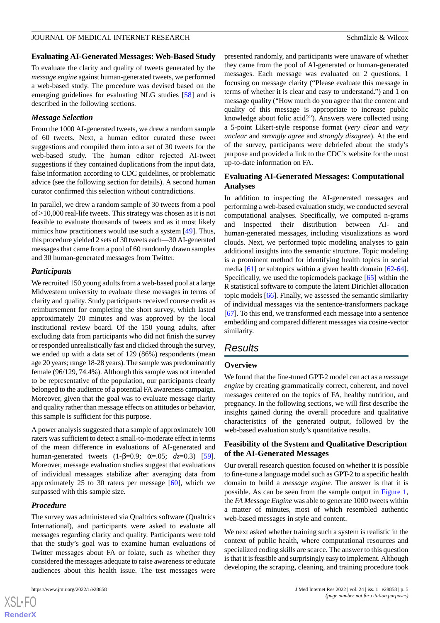### **Evaluating AI-Generated Messages: Web-Based Study**

To evaluate the clarity and quality of tweets generated by the *message engine* against human-generated tweets, we performed a web-based study. The procedure was devised based on the emerging guidelines for evaluating NLG studies [\[58](#page-11-18)] and is described in the following sections.

### *Message Selection*

From the 1000 AI-generated tweets, we drew a random sample of 60 tweets. Next, a human editor curated these tweet suggestions and compiled them into a set of 30 tweets for the web-based study. The human editor rejected AI-tweet suggestions if they contained duplications from the input data, false information according to CDC guidelines, or problematic advice (see the following section for details). A second human curator confirmed this selection without contradictions.

In parallel, we drew a random sample of 30 tweets from a pool of >10,000 real-life tweets. This strategy was chosen as it is not feasible to evaluate thousands of tweets and as it most likely mimics how practitioners would use such a system [[49\]](#page-11-9). Thus, this procedure yielded 2 sets of 30 tweets each—30 AI-generated messages that came from a pool of 60 randomly drawn samples and 30 human-generated messages from Twitter.

### *Participants*

We recruited 150 young adults from a web-based pool at a large Midwestern university to evaluate these messages in terms of clarity and quality. Study participants received course credit as reimbursement for completing the short survey, which lasted approximately 20 minutes and was approved by the local institutional review board. Of the 150 young adults, after excluding data from participants who did not finish the survey or responded unrealistically fast and clicked through the survey, we ended up with a data set of 129 (86%) respondents (mean age 20 years; range 18-28 years). The sample was predominantly female (96/129, 74.4%). Although this sample was not intended to be representative of the population, our participants clearly belonged to the audience of a potential FA awareness campaign. Moreover, given that the goal was to evaluate message clarity and quality rather than message effects on attitudes or behavior, this sample is sufficient for this purpose.

A power analysis suggested that a sample of approximately 100 raters was sufficient to detect a small-to-moderate effect in terms of the mean difference in evaluations of AI-generated and human-generated tweets (1-β=0.9; α=.05; *dz*=0.3) [[59\]](#page-11-19). Moreover, message evaluation studies suggest that evaluations of individual messages stabilize after averaging data from approximately 25 to 30 raters per message  $[60]$  $[60]$ , which we surpassed with this sample size.

### *Procedure*

The survey was administered via Qualtrics software (Qualtrics International), and participants were asked to evaluate all messages regarding clarity and quality. Participants were told that the study's goal was to examine human evaluations of Twitter messages about FA or folate, such as whether they considered the messages adequate to raise awareness or educate audiences about this health issue. The test messages were

presented randomly, and participants were unaware of whether they came from the pool of AI-generated or human-generated messages. Each message was evaluated on 2 questions, 1 focusing on message clarity ("Please evaluate this message in terms of whether it is clear and easy to understand.") and 1 on message quality ("How much do you agree that the content and quality of this message is appropriate to increase public knowledge about folic acid?"). Answers were collected using a 5-point Likert-style response format (*very clear* and *very unclear* and *strongly agree* and *strongly disagree*). At the end of the survey, participants were debriefed about the study's purpose and provided a link to the CDC's website for the most up-to-date information on FA.

# **Evaluating AI-Generated Messages: Computational Analyses**

In addition to inspecting the AI-generated messages and performing a web-based evaluation study, we conducted several computational analyses. Specifically, we computed n-grams and inspected their distribution between AI- and human-generated messages, including visualizations as word clouds. Next, we performed topic modeling analyses to gain additional insights into the semantic structure. Topic modeling is a prominent method for identifying health topics in social media [[61\]](#page-11-21) or subtopics within a given health domain [[62-](#page-11-22)[64\]](#page-11-23). Specifically, we used the topicmodels package [\[65](#page-11-24)] within the R statistical software to compute the latent Dirichlet allocation topic models [[66\]](#page-11-25). Finally, we assessed the semantic similarity of individual messages via the sentence-transformers package [[67\]](#page-12-0). To this end, we transformed each message into a sentence embedding and compared different messages via cosine-vector similarity.

# *Results*

### **Overview**

We found that the fine-tuned GPT-2 model can act as a *message engine* by creating grammatically correct, coherent, and novel messages centered on the topics of FA, healthy nutrition, and pregnancy. In the following sections, we will first describe the insights gained during the overall procedure and qualitative characteristics of the generated output, followed by the web-based evaluation study's quantitative results.

# **Feasibility of the System and Qualitative Description of the AI-Generated Messages**

Our overall research question focused on whether it is possible to fine-tune a language model such as GPT-2 to a specific health domain to build a *message engine.* The answer is that it is possible. As can be seen from the sample output in [Figure 1](#page-3-0), the *FA Message Engine* was able to generate 1000 tweets within a matter of minutes, most of which resembled authentic web-based messages in style and content.

We next asked whether training such a system is realistic in the context of public health, where computational resources and specialized coding skills are scarce. The answer to this question is that it is feasible and surprisingly easy to implement. Although developing the scraping, cleaning, and training procedure took

```
XS-FO
RenderX
```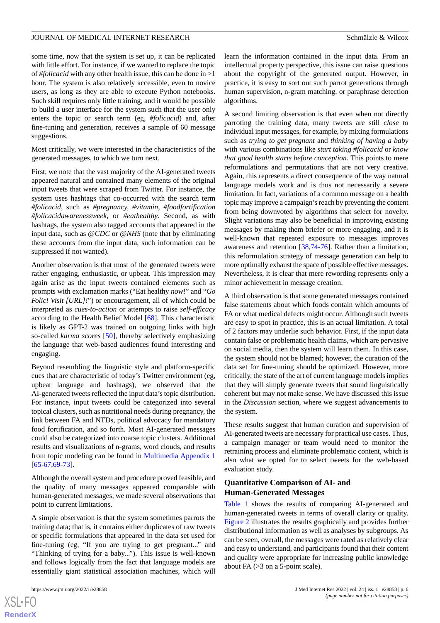some time, now that the system is set up, it can be replicated with little effort. For instance, if we wanted to replace the topic of *#folicacid* with any other health issue, this can be done in >1 hour. The system is also relatively accessible, even to novice users, as long as they are able to execute Python notebooks. Such skill requires only little training, and it would be possible to build a user interface for the system such that the user only enters the topic or search term (eg, *#folicacid*) and, after fine-tuning and generation, receives a sample of 60 message suggestions.

Most critically, we were interested in the characteristics of the generated messages, to which we turn next.

First, we note that the vast majority of the AI-generated tweets appeared natural and contained many elements of the original input tweets that were scraped from Twitter. For instance, the system uses hashtags that co-occurred with the search term *#folicacid*, such as *#pregnancy, #vitamin, #foodfortification #folicacidawarenessweek,* or *#eathealthy*. Second, as with hashtags, the system also tagged accounts that appeared in the input data, such as @*CDC* or @*NHS* (note that by eliminating these accounts from the input data, such information can be suppressed if not wanted).

Another observation is that most of the generated tweets were rather engaging, enthusiastic, or upbeat. This impression may again arise as the input tweets contained elements such as prompts with exclamation marks ("Eat healthy *now*!" and "*Go Folic! Visit [URL]!*") or encouragement, all of which could be interpreted as *cues-to-action* or attempts to raise *self-efficacy* according to the Health Belief Model [\[68](#page-12-1)]. This characteristic is likely as GPT-2 was trained on outgoing links with high so-called *karma scores* [[50\]](#page-11-10), thereby selectively emphasizing the language that web-based audiences found interesting and engaging.

Beyond resembling the linguistic style and platform-specific cues that are characteristic of today's Twitter environment (eg, upbeat language and hashtags), we observed that the AI-generated tweets reflected the input data's topic distribution. For instance, input tweets could be categorized into several topical clusters, such as nutritional needs during pregnancy, the link between FA and NTDs, political advocacy for mandatory food fortification, and so forth. Most AI-generated messages could also be categorized into coarse topic clusters. Additional results and visualizations of n-grams, word clouds, and results from topic modeling can be found in [Multimedia Appendix 1](#page-9-8) [[65](#page-11-24)[-67](#page-12-0),[69-](#page-12-2)[73](#page-12-3)].

Although the overall system and procedure proved feasible, and the quality of many messages appeared comparable with human-generated messages, we made several observations that point to current limitations.

A simple observation is that the system sometimes parrots the training data; that is, it contains either duplicates of raw tweets or specific formulations that appeared in the data set used for fine-tuning (eg, "If you are trying to get pregnant..." and "Thinking of trying for a baby..."). This issue is well-known and follows logically from the fact that language models are essentially giant statistical association machines, which will

learn the information contained in the input data. From an intellectual property perspective, this issue can raise questions about the copyright of the generated output. However, in practice, it is easy to sort out such parrot generations through human supervision, n-gram matching, or paraphrase detection algorithms.

A second limiting observation is that even when not directly parroting the training data, many tweets are still *close to* individual input messages, for example, by mixing formulations such as *trying to get pregnant* and *thinking of having a baby* with various combinations like *start taking #folicacid* or *know that good health starts before conception*. This points to mere reformulations and permutations that are not very creative. Again, this represents a direct consequence of the way natural language models work and is thus not necessarily a severe limitation. In fact, variations of a common message on a health topic may improve a campaign's reach by preventing the content from being downvoted by algorithms that select for novelty. Slight variations may also be beneficial in improving existing messages by making them briefer or more engaging, and it is well-known that repeated exposure to messages improves awareness and retention [[38](#page-10-22)[,74](#page-12-4)-[76\]](#page-12-5). Rather than a limitation, this reformulation strategy of message generation can help to more optimally exhaust the space of possible effective messages. Nevertheless, it is clear that mere rewording represents only a minor achievement in message creation.

A third observation is that some generated messages contained false statements about which foods contain which amounts of FA or what medical defects might occur. Although such tweets are easy to spot in practice, this is an actual limitation. A total of 2 factors may underlie such behavior. First, if the input data contain false or problematic health claims, which are pervasive on social media, then the system will learn them. In this case, the system should not be blamed; however, the curation of the data set for fine-tuning should be optimized. However, more critically, the state of the art of current language models implies that they will simply generate tweets that sound linguistically coherent but may not make sense. We have discussed this issue in the *Discussion* section*,* where we suggest advancements to the system.

These results suggest that human curation and supervision of AI-generated tweets are necessary for practical use cases. Thus, a campaign manager or team would need to monitor the retraining process and eliminate problematic content, which is also what we opted for to select tweets for the web-based evaluation study.

# **Quantitative Comparison of AI- and Human-Generated Messages**

[Table 1](#page-6-0) shows the results of comparing AI-generated and human-generated tweets in terms of overall clarity or quality. [Figure 2](#page-6-1) illustrates the results graphically and provides further distributional information as well as analyses by subgroups. As can be seen, overall, the messages were rated as relatively clear and easy to understand, and participants found that their content and quality were appropriate for increasing public knowledge about FA (>3 on a 5-point scale).

```
XS-FO
RenderX
```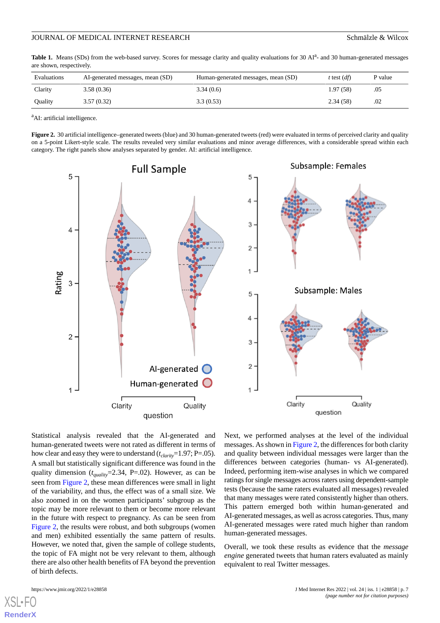<span id="page-6-0"></span>Table 1. Means (SDs) from the web-based survey. Scores for message clarity and quality evaluations for 30 AI<sup>a</sup>- and 30 human-generated messages are shown, respectively.

| Evaluations | AI-generated messages, mean (SD) | Human-generated messages, mean (SD) | t test $(df)$ | P value |
|-------------|----------------------------------|-------------------------------------|---------------|---------|
| Clarity     | 3.58(0.36)                       | 3.34(0.6)                           | 1.97(58)      | .05     |
| Quality     | 3.57(0.32)                       | 3.3(0.53)                           | 2.34(58)      | .02     |

<span id="page-6-1"></span><sup>a</sup>AI: artificial intelligence.

**Figure 2.** 30 artificial intelligence–generated tweets (blue) and 30 human-generated tweets (red) were evaluated in terms of perceived clarity and quality on a 5-point Likert-style scale. The results revealed very similar evaluations and minor average differences, with a considerable spread within each category. The right panels show analyses separated by gender. AI: artificial intelligence.



Statistical analysis revealed that the AI-generated and human-generated tweets were not rated as different in terms of how clear and easy they were to understand ( $t_{clarity}$ =1.97; P=.05). A small but statistically significant difference was found in the quality dimension (*tquality*=2.34, P=.02). However, as can be seen from [Figure 2](#page-6-1), these mean differences were small in light of the variability, and thus, the effect was of a small size. We also zoomed in on the women participants' subgroup as the topic may be more relevant to them or become more relevant in the future with respect to pregnancy. As can be seen from [Figure 2](#page-6-1), the results were robust, and both subgroups (women and men) exhibited essentially the same pattern of results. However, we noted that, given the sample of college students, the topic of FA might not be very relevant to them, although there are also other health benefits of FA beyond the prevention of birth defects.

Next, we performed analyses at the level of the individual messages. As shown in [Figure 2](#page-6-1), the differences for both clarity and quality between individual messages were larger than the differences between categories (human- vs AI-generated). Indeed, performing item-wise analyses in which we compared ratings for single messages across raters using dependent-sample tests (because the same raters evaluated all messages) revealed that many messages were rated consistently higher than others. This pattern emerged both within human-generated and AI-generated messages, as well as across categories. Thus, many AI-generated messages were rated much higher than random human-generated messages.

Overall, we took these results as evidence that the *message engine* generated tweets that human raters evaluated as mainly equivalent to real Twitter messages.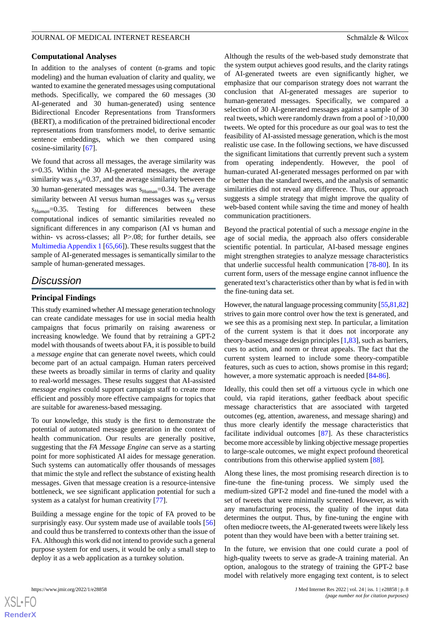#### **Computational Analyses**

In addition to the analyses of content (n-grams and topic modeling) and the human evaluation of clarity and quality, we wanted to examine the generated messages using computational methods. Specifically, we compared the 60 messages (30 AI-generated and 30 human-generated) using sentence Bidirectional Encoder Representations from Transformers (BERT), a modification of the pretrained bidirectional encoder representations from transformers model, to derive semantic sentence embeddings, which we then compared using cosine-similarity [[67\]](#page-12-0).

We found that across all messages, the average similarity was *s*=0.35. Within the 30 AI-generated messages, the average similarity was  $s_{AI}$ =0.37, and the average similarity between the 30 human-generated messages was  $s_{Human}$ =0.34. The average similarity between AI versus human messages was *sAI* versus *sHuman*=0.35. Testing for differences between these computational indices of semantic similarities revealed no significant differences in any comparison (AI vs human and within- vs across-classes; all P>.08; for further details, see [Multimedia Appendix 1](#page-9-8) [[65](#page-11-24)[,66](#page-11-25)]). These results suggest that the sample of AI-generated messages is semantically similar to the sample of human-generated messages.

# *Discussion*

# **Principal Findings**

This study examined whether AI message generation technology can create candidate messages for use in social media health campaigns that focus primarily on raising awareness or increasing knowledge. We found that by retraining a GPT-2 model with thousands of tweets about FA, it is possible to build a *message engine* that can generate novel tweets, which could become part of an actual campaign. Human raters perceived these tweets as broadly similar in terms of clarity and quality to real-world messages. These results suggest that AI-assisted *message engines* could support campaign staff to create more efficient and possibly more effective campaigns for topics that are suitable for awareness-based messaging.

To our knowledge, this study is the first to demonstrate the potential of automated message generation in the context of health communication. Our results are generally positive, suggesting that the *FA Message Engine* can serve as a starting point for more sophisticated AI aides for message generation. Such systems can automatically offer thousands of messages that mimic the style and reflect the substance of existing health messages. Given that message creation is a resource-intensive bottleneck, we see significant application potential for such a system as a catalyst for human creativity [[77\]](#page-12-6).

Building a message engine for the topic of FA proved to be surprisingly easy. Our system made use of available tools [\[56](#page-11-16)] and could thus be transferred to contexts other than the issue of FA. Although this work did not intend to provide such a general purpose system for end users, it would be only a small step to deploy it as a web application as a turnkey solution.

Although the results of the web-based study demonstrate that the system output achieves good results, and the clarity ratings of AI-generated tweets are even significantly higher, we emphasize that our comparison strategy does not warrant the conclusion that AI-generated messages are superior to human-generated messages. Specifically, we compared a selection of 30 AI-generated messages against a sample of 30 real tweets, which were randomly drawn from a pool of >10,000 tweets. We opted for this procedure as our goal was to test the feasibility of AI-assisted message generation, which is the most realistic use case. In the following sections, we have discussed the significant limitations that currently prevent such a system from operating independently. However, the pool of human-curated AI-generated messages performed on par with or better than the standard tweets, and the analysis of semantic similarities did not reveal any difference. Thus, our approach suggests a simple strategy that might improve the quality of web-based content while saving the time and money of health communication practitioners.

Beyond the practical potential of such a *message engine* in the age of social media, the approach also offers considerable scientific potential. In particular, AI-based message engines might strengthen strategies to analyze message characteristics that underlie successful health communication [\[78](#page-12-7)[-80](#page-12-8)]. In its current form, users of the message engine cannot influence the generated text's characteristics other than by what is fed in with the fine-tuning data set.

However, the natural language processing community [\[55](#page-11-15),[81](#page-12-9),[82\]](#page-12-10) strives to gain more control over how the text is generated, and we see this as a promising next step. In particular, a limitation of the current system is that it does not incorporate any theory-based message design principles [[1,](#page-9-0)[83\]](#page-12-11), such as barriers, cues to action, and norm or threat appeals. The fact that the current system learned to include some theory-compatible features, such as cues to action, shows promise in this regard; however, a more systematic approach is needed  $[84-86]$  $[84-86]$  $[84-86]$ .

Ideally, this could then set off a virtuous cycle in which one could, via rapid iterations, gather feedback about specific message characteristics that are associated with targeted outcomes (eg, attention, awareness, and message sharing) and thus more clearly identify the message characteristics that facilitate individual outcomes [\[87](#page-12-14)]. As these characteristics become more accessible by linking objective message properties to large-scale outcomes, we might expect profound theoretical contributions from this otherwise applied system [\[88](#page-12-15)].

Along these lines, the most promising research direction is to fine-tune the fine-tuning process. We simply used the medium-sized GPT-2 model and fine-tuned the model with a set of tweets that were minimally screened. However, as with any manufacturing process, the quality of the input data determines the output. Thus, by fine-tuning the engine with often mediocre tweets, the AI-generated tweets were likely less potent than they would have been with a better training set.

In the future, we envision that one could curate a pool of high-quality tweets to serve as grade-A training material. An option, analogous to the strategy of training the GPT-2 base model with relatively more engaging text content, is to select

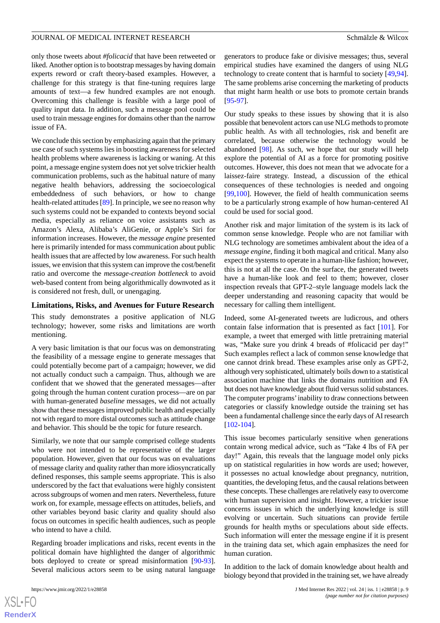only those tweets about *#folicacid* that have been retweeted or liked. Another option is to bootstrap messages by having domain experts reword or craft theory-based examples. However, a challenge for this strategy is that fine-tuning requires large amounts of text—a few hundred examples are not enough. Overcoming this challenge is feasible with a large pool of quality input data. In addition, such a message pool could be used to train message engines for domains other than the narrow issue of FA.

We conclude this section by emphasizing again that the primary use case of such systems lies in boosting awareness for selected health problems where awareness is lacking or waning. At this point, a message engine system does not yet solve trickier health communication problems, such as the habitual nature of many negative health behaviors, addressing the socioecological embeddedness of such behaviors, or how to change health-related attitudes [\[89](#page-12-16)]. In principle, we see no reason why such systems could not be expanded to contexts beyond social media, especially as reliance on voice assistants such as Amazon's Alexa, Alibaba's AliGenie, or Apple's Siri for information increases. However, the *message engine* presented here is primarily intended for mass communication about public health issues that are affected by low awareness. For such health issues, we envision that this system can improve the cost/benefit ratio and overcome the *message-creation bottleneck* to avoid web-based content from being algorithmically downvoted as it is considered not fresh, dull, or unengaging.

### **Limitations, Risks, and Avenues for Future Research**

This study demonstrates a positive application of NLG technology; however, some risks and limitations are worth mentioning.

A very basic limitation is that our focus was on demonstrating the feasibility of a message engine to generate messages that could potentially become part of a campaign; however, we did not actually conduct such a campaign. Thus, although we are confident that we showed that the generated messages—after going through the human content curation process—are on par with human-generated *baseline* messages, we did not actually show that these messages improved public health and especially not with regard to more distal outcomes such as attitude change and behavior. This should be the topic for future research.

Similarly, we note that our sample comprised college students who were not intended to be representative of the larger population. However, given that our focus was on evaluations of message clarity and quality rather than more idiosyncratically defined responses, this sample seems appropriate. This is also underscored by the fact that evaluations were highly consistent across subgroups of women and men raters. Nevertheless, future work on, for example, message effects on attitudes, beliefs, and other variables beyond basic clarity and quality should also focus on outcomes in specific health audiences, such as people who intend to have a child.

Regarding broader implications and risks, recent events in the political domain have highlighted the danger of algorithmic bots deployed to create or spread misinformation [\[90](#page-12-17)-[93\]](#page-12-18). Several malicious actors seem to be using natural language

 $XS$ -FO **[RenderX](http://www.renderx.com/)**

generators to produce fake or divisive messages; thus, several empirical studies have examined the dangers of using NLG technology to create content that is harmful to society [\[49](#page-11-9),[94\]](#page-12-19). The same problems arise concerning the marketing of products that might harm health or use bots to promote certain brands [[95](#page-12-20)[-97](#page-13-0)].

Our study speaks to these issues by showing that it is also possible that benevolent actors can use NLG methods to promote public health. As with all technologies, risk and benefit are correlated, because otherwise the technology would be abandoned [\[98](#page-13-1)]. As such, we hope that our study will help explore the potential of AI as a force for promoting positive outcomes. However, this does not mean that we advocate for a laissez-faire strategy. Instead, a discussion of the ethical consequences of these technologies is needed and ongoing [[99,](#page-13-2)[100](#page-13-3)]. However, the field of health communication seems to be a particularly strong example of how human-centered AI could be used for social good.

Another risk and major limitation of the system is its lack of common sense knowledge. People who are not familiar with NLG technology are sometimes ambivalent about the idea of a *message engine*, finding it both magical and critical. Many also expect the systems to operate in a human-like fashion; however, this is not at all the case. On the surface, the generated tweets have a human-like look and feel to them; however, closer inspection reveals that GPT-2–style language models lack the deeper understanding and reasoning capacity that would be necessary for calling them intelligent.

Indeed, some AI-generated tweets are ludicrous, and others contain false information that is presented as fact [[101\]](#page-13-4). For example, a tweet that emerged with little pretraining material was, "Make sure you drink 4 breads of #folicacid per day!" Such examples reflect a lack of common sense knowledge that one cannot drink bread. These examples arise only as GPT-2, although very sophisticated, ultimately boils down to a statistical association machine that links the domains nutrition and FA but does not have knowledge about fluid versus solid substances. The computer programs'inability to draw connections between categories or classify knowledge outside the training set has been a fundamental challenge since the early days of AI research [[102](#page-13-5)[-104](#page-13-6)].

This issue becomes particularly sensitive when generations contain wrong medical advice, such as "Take 4 lbs of FA per day!" Again, this reveals that the language model only picks up on statistical regularities in how words are used; however, it possesses no actual knowledge about pregnancy, nutrition, quantities, the developing fetus, and the causal relations between these concepts. These challenges are relatively easy to overcome with human supervision and insight. However, a trickier issue concerns issues in which the underlying knowledge is still evolving or uncertain. Such situations can provide fertile grounds for health myths or speculations about side effects. Such information will enter the message engine if it is present in the training data set, which again emphasizes the need for human curation.

In addition to the lack of domain knowledge about health and biology beyond that provided in the training set, we have already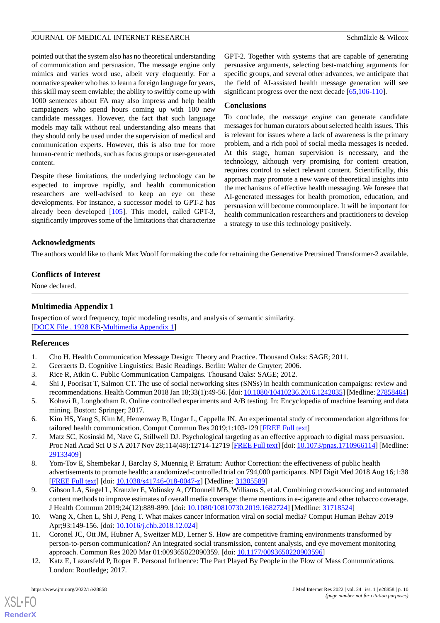pointed out that the system also has no theoretical understanding of communication and persuasion. The message engine only mimics and varies word use, albeit very eloquently. For a nonnative speaker who has to learn a foreign language for years, this skill may seem enviable; the ability to swiftly come up with 1000 sentences about FA may also impress and help health campaigners who spend hours coming up with 100 new candidate messages. However, the fact that such language models may talk without real understanding also means that they should only be used under the supervision of medical and communication experts. However, this is also true for more human-centric methods, such as focus groups or user-generated content.

Despite these limitations, the underlying technology can be expected to improve rapidly, and health communication researchers are well-advised to keep an eye on these developments. For instance, a successor model to GPT-2 has already been developed [\[105](#page-13-7)]. This model, called GPT-3, significantly improves some of the limitations that characterize GPT-2. Together with systems that are capable of generating persuasive arguments, selecting best-matching arguments for specific groups, and several other advances, we anticipate that the field of AI-assisted health message generation will see significant progress over the next decade [\[65](#page-11-24),[106](#page-13-8)[-110](#page-13-9)].

### **Conclusions**

To conclude, the *message engine* can generate candidate messages for human curators about selected health issues. This is relevant for issues where a lack of awareness is the primary problem, and a rich pool of social media messages is needed. At this stage, human supervision is necessary, and the technology, although very promising for content creation, requires control to select relevant content. Scientifically, this approach may promote a new wave of theoretical insights into the mechanisms of effective health messaging. We foresee that AI-generated messages for health promotion, education, and persuasion will become commonplace. It will be important for health communication researchers and practitioners to develop a strategy to use this technology positively.

### **Acknowledgments**

The authors would like to thank Max Woolf for making the code for retraining the Generative Pretrained Transformer-2 available.

### <span id="page-9-8"></span>**Conflicts of Interest**

None declared.

### **Multimedia Appendix 1**

<span id="page-9-1"></span><span id="page-9-0"></span>Inspection of word frequency, topic modeling results, and analysis of semantic similarity. [[DOCX File , 1928 KB](https://jmir.org/api/download?alt_name=jmir_v24i1e28858_app1.docx&filename=f7895b057abdd5f352769845eae129f1.docx)-[Multimedia Appendix 1\]](https://jmir.org/api/download?alt_name=jmir_v24i1e28858_app1.docx&filename=f7895b057abdd5f352769845eae129f1.docx)

### <span id="page-9-3"></span><span id="page-9-2"></span>**References**

- <span id="page-9-4"></span>1. Cho H. Health Communication Message Design: Theory and Practice. Thousand Oaks: SAGE; 2011.
- 2. Geeraerts D. Cognitive Linguistics: Basic Readings. Berlin: Walter de Gruyter; 2006.
- 3. Rice R, Atkin C. Public Communication Campaigns. Thousand Oaks: SAGE; 2012.
- 4. Shi J, Poorisat T, Salmon CT. The use of social networking sites (SNSs) in health communication campaigns: review and recommendations. Health Commun 2018 Jan 18;33(1):49-56. [doi: [10.1080/10410236.2016.1242035\]](http://dx.doi.org/10.1080/10410236.2016.1242035) [Medline: [27858464\]](http://www.ncbi.nlm.nih.gov/entrez/query.fcgi?cmd=Retrieve&db=PubMed&list_uids=27858464&dopt=Abstract)
- 5. Kohavi R, Longbotham R. Online controlled experiments and A/B testing. In: Encyclopedia of machine learning and data mining. Boston: Springer; 2017.
- 6. Kim HS, Yang S, Kim M, Hemenway B, Ungar L, Cappella JN. An experimental study of recommendation algorithms for tailored health communication. Comput Commun Res 2019;1:103-129 [\[FREE Full text\]](https://tobacco.ucsf.edu/publications/experimental-study-recommendation-algorithms-tailored-health-communication)
- 7. Matz SC, Kosinski M, Nave G, Stillwell DJ. Psychological targeting as an effective approach to digital mass persuasion. Proc Natl Acad Sci U S A 2017 Nov 28;114(48):12714-12719 [\[FREE Full text\]](http://www.pnas.org/cgi/pmidlookup?view=long&pmid=29133409) [doi: [10.1073/pnas.1710966114](http://dx.doi.org/10.1073/pnas.1710966114)] [Medline: [29133409](http://www.ncbi.nlm.nih.gov/entrez/query.fcgi?cmd=Retrieve&db=PubMed&list_uids=29133409&dopt=Abstract)]
- <span id="page-9-5"></span>8. Yom-Tov E, Shembekar J, Barclay S, Muennig P. Erratum: Author Correction: the effectiveness of public health advertisements to promote health: a randomized-controlled trial on 794,000 participants. NPJ Digit Med 2018 Aug 16;1:38 [[FREE Full text](https://doi.org/10.1038/s41746-018-0047-z)] [doi: [10.1038/s41746-018-0047-z](http://dx.doi.org/10.1038/s41746-018-0047-z)] [Medline: [31305589\]](http://www.ncbi.nlm.nih.gov/entrez/query.fcgi?cmd=Retrieve&db=PubMed&list_uids=31305589&dopt=Abstract)
- <span id="page-9-6"></span>9. Gibson LA, Siegel L, Kranzler E, Volinsky A, O'Donnell MB, Williams S, et al. Combining crowd-sourcing and automated content methods to improve estimates of overall media coverage: theme mentions in e-cigarette and other tobacco coverage. J Health Commun 2019;24(12):889-899. [doi: [10.1080/10810730.2019.1682724](http://dx.doi.org/10.1080/10810730.2019.1682724)] [Medline: [31718524\]](http://www.ncbi.nlm.nih.gov/entrez/query.fcgi?cmd=Retrieve&db=PubMed&list_uids=31718524&dopt=Abstract)
- <span id="page-9-7"></span>10. Wang X, Chen L, Shi J, Peng T. What makes cancer information viral on social media? Comput Human Behav 2019 Apr;93:149-156. [doi: [10.1016/j.chb.2018.12.024](http://dx.doi.org/10.1016/j.chb.2018.12.024)]
- 11. Coronel JC, Ott JM, Hubner A, Sweitzer MD, Lerner S. How are competitive framing environments transformed by person-to-person communication? An integrated social transmission, content analysis, and eye movement monitoring approach. Commun Res 2020 Mar 01:009365022090359. [doi: [10.1177/0093650220903596](http://dx.doi.org/10.1177/0093650220903596)]
- 12. Katz E, Lazarsfeld P, Roper E. Personal Influence: The Part Played By People in the Flow of Mass Communications. London: Routledge; 2017.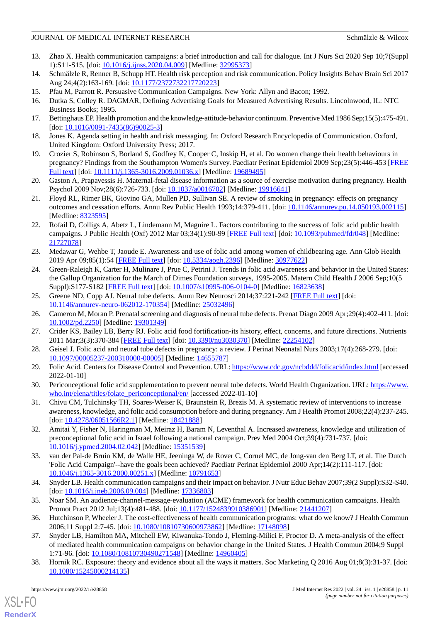- <span id="page-10-0"></span>13. Zhao X. Health communication campaigns: a brief introduction and call for dialogue. Int J Nurs Sci 2020 Sep 10;7(Suppl 1):S11-S15. [doi: [10.1016/j.ijnss.2020.04.009\]](http://dx.doi.org/10.1016/j.ijnss.2020.04.009) [Medline: [32995373\]](http://www.ncbi.nlm.nih.gov/entrez/query.fcgi?cmd=Retrieve&db=PubMed&list_uids=32995373&dopt=Abstract)
- <span id="page-10-2"></span><span id="page-10-1"></span>14. Schmälzle R, Renner B, Schupp HT. Health risk perception and risk communication. Policy Insights Behav Brain Sci 2017 Aug 24;4(2):163-169. [doi: [10.1177/2372732217720223\]](http://dx.doi.org/10.1177/2372732217720223)
- <span id="page-10-3"></span>15. Pfau M, Parrott R. Persuasive Communication Campaigns. New York: Allyn and Bacon; 1992.
- <span id="page-10-4"></span>16. Dutka S, Colley R. DAGMAR, Defining Advertising Goals for Measured Advertising Results. Lincolnwood, IL: NTC Business Books; 1995.
- <span id="page-10-5"></span>17. Bettinghaus EP. Health promotion and the knowledge-attitude-behavior continuum. Preventive Med 1986 Sep;15(5):475-491. [doi: [10.1016/0091-7435\(86\)90025-3](http://dx.doi.org/10.1016/0091-7435(86)90025-3)]
- <span id="page-10-6"></span>18. Jones K. Agenda setting in health and risk messaging. In: Oxford Research Encyclopedia of Communication. Oxford, United Kingdom: Oxford University Press; 2017.
- 19. Crozier S, Robinson S, Borland S, Godfrey K, Cooper C, Inskip H, et al. Do women change their health behaviours in pregnancy? Findings from the Southampton Women's Survey. Paediatr Perinat Epidemiol 2009 Sep;23(5):446-453 [\[FREE](http://europepmc.org/abstract/MED/19689495) [Full text\]](http://europepmc.org/abstract/MED/19689495) [doi: [10.1111/j.1365-3016.2009.01036.x\]](http://dx.doi.org/10.1111/j.1365-3016.2009.01036.x) [Medline: [19689495](http://www.ncbi.nlm.nih.gov/entrez/query.fcgi?cmd=Retrieve&db=PubMed&list_uids=19689495&dopt=Abstract)]
- <span id="page-10-7"></span>20. Gaston A, Prapavessis H. Maternal-fetal disease information as a source of exercise motivation during pregnancy. Health Psychol 2009 Nov; 28(6): 726-733. [doi:  $10.1037/a0016702$ ] [Medline: [19916641\]](http://www.ncbi.nlm.nih.gov/entrez/query.fcgi?cmd=Retrieve&db=PubMed&list_uids=19916641&dopt=Abstract)
- <span id="page-10-8"></span>21. Floyd RL, Rimer BK, Giovino GA, Mullen PD, Sullivan SE. A review of smoking in pregnancy: effects on pregnancy outcomes and cessation efforts. Annu Rev Public Health 1993;14:379-411. [doi: [10.1146/annurev.pu.14.050193.002115](http://dx.doi.org/10.1146/annurev.pu.14.050193.002115)] [Medline: [8323595\]](http://www.ncbi.nlm.nih.gov/entrez/query.fcgi?cmd=Retrieve&db=PubMed&list_uids=8323595&dopt=Abstract)
- 22. Rofail D, Colligs A, Abetz L, Lindemann M, Maguire L. Factors contributing to the success of folic acid public health campaigns. J Public Health (Oxf) 2012 Mar 03;34(1):90-99 [[FREE Full text](http://europepmc.org/abstract/MED/21727078)] [doi: [10.1093/pubmed/fdr048](http://dx.doi.org/10.1093/pubmed/fdr048)] [Medline: [21727078](http://www.ncbi.nlm.nih.gov/entrez/query.fcgi?cmd=Retrieve&db=PubMed&list_uids=21727078&dopt=Abstract)]
- <span id="page-10-9"></span>23. Medawar G, Wehbe T, Jaoude E. Awareness and use of folic acid among women of childbearing age. Ann Glob Health 2019 Apr 09;85(1):54 [\[FREE Full text](https://annalsofglobalhealth.org/articles/10.5334/aogh.2396)] [doi: [10.5334/aogh.2396\]](http://dx.doi.org/10.5334/aogh.2396) [Medline: [30977622\]](http://www.ncbi.nlm.nih.gov/entrez/query.fcgi?cmd=Retrieve&db=PubMed&list_uids=30977622&dopt=Abstract)
- <span id="page-10-10"></span>24. Green-Raleigh K, Carter H, Mulinare J, Prue C, Petrini J. Trends in folic acid awareness and behavior in the United States: the Gallup Organization for the March of Dimes Foundation surveys, 1995-2005. Matern Child Health J 2006 Sep;10(5 Suppl):S177-S182 [\[FREE Full text\]](http://europepmc.org/abstract/MED/16823638) [doi: [10.1007/s10995-006-0104-0](http://dx.doi.org/10.1007/s10995-006-0104-0)] [Medline: [16823638\]](http://www.ncbi.nlm.nih.gov/entrez/query.fcgi?cmd=Retrieve&db=PubMed&list_uids=16823638&dopt=Abstract)
- <span id="page-10-12"></span><span id="page-10-11"></span>25. Greene ND, Copp AJ. Neural tube defects. Annu Rev Neurosci 2014;37:221-242 [[FREE Full text](http://europepmc.org/abstract/MED/25032496)] [doi: [10.1146/annurev-neuro-062012-170354](http://dx.doi.org/10.1146/annurev-neuro-062012-170354)] [Medline: [25032496](http://www.ncbi.nlm.nih.gov/entrez/query.fcgi?cmd=Retrieve&db=PubMed&list_uids=25032496&dopt=Abstract)]
- <span id="page-10-13"></span>26. Cameron M, Moran P. Prenatal screening and diagnosis of neural tube defects. Prenat Diagn 2009 Apr;29(4):402-411. [doi: [10.1002/pd.2250](http://dx.doi.org/10.1002/pd.2250)] [Medline: [19301349](http://www.ncbi.nlm.nih.gov/entrez/query.fcgi?cmd=Retrieve&db=PubMed&list_uids=19301349&dopt=Abstract)]
- <span id="page-10-14"></span>27. Crider KS, Bailey LB, Berry RJ. Folic acid food fortification-its history, effect, concerns, and future directions. Nutrients 2011 Mar;3(3):370-384 [\[FREE Full text\]](https://www.mdpi.com/resolver?pii=nu3030370) [doi: [10.3390/nu3030370\]](http://dx.doi.org/10.3390/nu3030370) [Medline: [22254102\]](http://www.ncbi.nlm.nih.gov/entrez/query.fcgi?cmd=Retrieve&db=PubMed&list_uids=22254102&dopt=Abstract)
- <span id="page-10-15"></span>28. Geisel J. Folic acid and neural tube defects in pregnancy: a review. J Perinat Neonatal Nurs 2003;17(4):268-279. [doi: [10.1097/00005237-200310000-00005](http://dx.doi.org/10.1097/00005237-200310000-00005)] [Medline: [14655787](http://www.ncbi.nlm.nih.gov/entrez/query.fcgi?cmd=Retrieve&db=PubMed&list_uids=14655787&dopt=Abstract)]
- <span id="page-10-16"></span>29. Folic Acid. Centers for Disease Control and Prevention. URL:<https://www.cdc.gov/ncbddd/folicacid/index.html> [accessed] 2022-01-10]
- 30. Periconceptional folic acid supplementation to prevent neural tube defects. World Health Organization. URL: [https://www.](https://www.who.int/elena/titles/folate_periconceptional/en/) [who.int/elena/titles/folate\\_periconceptional/en/](https://www.who.int/elena/titles/folate_periconceptional/en/) [accessed 2022-01-10]
- <span id="page-10-17"></span>31. Chivu CM, Tulchinsky TH, Soares-Weiser K, Braunstein R, Brezis M. A systematic review of interventions to increase awareness, knowledge, and folic acid consumption before and during pregnancy. Am J Health Promot 2008;22(4):237-245. [doi: [10.4278/06051566R2.1](http://dx.doi.org/10.4278/06051566R2.1)] [Medline: [18421888](http://www.ncbi.nlm.nih.gov/entrez/query.fcgi?cmd=Retrieve&db=PubMed&list_uids=18421888&dopt=Abstract)]
- <span id="page-10-18"></span>32. Amitai Y, Fisher N, Haringman M, Meiraz H, Baram N, Leventhal A. Increased awareness, knowledge and utilization of preconceptional folic acid in Israel following a national campaign. Prev Med 2004 Oct;39(4):731-737. [doi: [10.1016/j.ypmed.2004.02.042\]](http://dx.doi.org/10.1016/j.ypmed.2004.02.042) [Medline: [15351539\]](http://www.ncbi.nlm.nih.gov/entrez/query.fcgi?cmd=Retrieve&db=PubMed&list_uids=15351539&dopt=Abstract)
- <span id="page-10-20"></span><span id="page-10-19"></span>33. van der Pal-de Bruin KM, de Walle HE, Jeeninga W, de Rover C, Cornel MC, de Jong-van den Berg LT, et al. The Dutch 'Folic Acid Campaign'--have the goals been achieved? Paediatr Perinat Epidemiol 2000 Apr;14(2):111-117. [doi: [10.1046/j.1365-3016.2000.00251.x\]](http://dx.doi.org/10.1046/j.1365-3016.2000.00251.x) [Medline: [10791653\]](http://www.ncbi.nlm.nih.gov/entrez/query.fcgi?cmd=Retrieve&db=PubMed&list_uids=10791653&dopt=Abstract)
- <span id="page-10-21"></span>34. Snyder LB. Health communication campaigns and their impact on behavior. J Nutr Educ Behav 2007;39(2 Suppl):S32-S40. [doi: [10.1016/j.jneb.2006.09.004\]](http://dx.doi.org/10.1016/j.jneb.2006.09.004) [Medline: [17336803\]](http://www.ncbi.nlm.nih.gov/entrez/query.fcgi?cmd=Retrieve&db=PubMed&list_uids=17336803&dopt=Abstract)
- <span id="page-10-22"></span>35. Noar SM. An audience-channel-message-evaluation (ACME) framework for health communication campaigns. Health Promot Pract 2012 Jul;13(4):481-488. [doi: [10.1177/1524839910386901\]](http://dx.doi.org/10.1177/1524839910386901) [Medline: [21441207\]](http://www.ncbi.nlm.nih.gov/entrez/query.fcgi?cmd=Retrieve&db=PubMed&list_uids=21441207&dopt=Abstract)
- 36. Hutchinson P, Wheeler J. The cost-effectiveness of health communication programs: what do we know? J Health Commun 2006;11 Suppl 2:7-45. [doi: [10.1080/10810730600973862](http://dx.doi.org/10.1080/10810730600973862)] [Medline: [17148098](http://www.ncbi.nlm.nih.gov/entrez/query.fcgi?cmd=Retrieve&db=PubMed&list_uids=17148098&dopt=Abstract)]
- 37. Snyder LB, Hamilton MA, Mitchell EW, Kiwanuka-Tondo J, Fleming-Milici F, Proctor D. A meta-analysis of the effect of mediated health communication campaigns on behavior change in the United States. J Health Commun 2004;9 Suppl 1:71-96. [doi: [10.1080/10810730490271548](http://dx.doi.org/10.1080/10810730490271548)] [Medline: [14960405](http://www.ncbi.nlm.nih.gov/entrez/query.fcgi?cmd=Retrieve&db=PubMed&list_uids=14960405&dopt=Abstract)]
- 38. Hornik RC. Exposure: theory and evidence about all the ways it matters. Soc Marketing Q 2016 Aug 01;8(3):31-37. [doi: [10.1080/15245000214135\]](http://dx.doi.org/10.1080/15245000214135)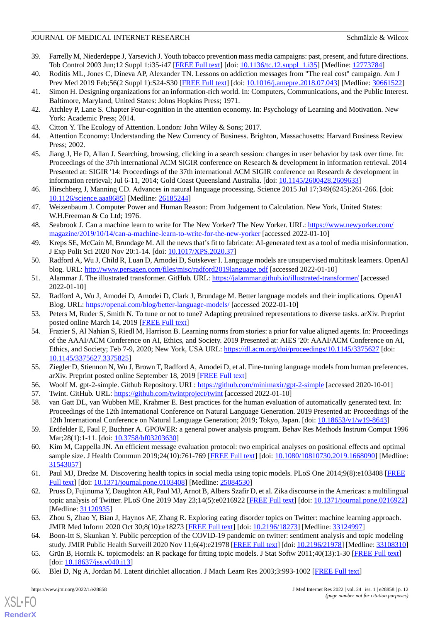- <span id="page-11-0"></span>39. Farrelly M, Niederdeppe J, Yarsevich J. Youth tobacco prevention mass media campaigns: past, present, and future directions. Tob Control 2003 Jun;12 Suppl 1:i35-i47 [\[FREE Full text\]](https://tobaccocontrol.bmj.com/lookup/pmidlookup?view=long&pmid=12773784) [doi: [10.1136/tc.12.suppl\\_1.i35\]](http://dx.doi.org/10.1136/tc.12.suppl_1.i35) [Medline: [12773784](http://www.ncbi.nlm.nih.gov/entrez/query.fcgi?cmd=Retrieve&db=PubMed&list_uids=12773784&dopt=Abstract)]
- <span id="page-11-2"></span><span id="page-11-1"></span>40. Roditis ML, Jones C, Dineva AP, Alexander TN. Lessons on addiction messages from "The real cost" campaign. Am J Prev Med 2019 Feb;56(2 Suppl 1):S24-S30 [\[FREE Full text\]](https://linkinghub.elsevier.com/retrieve/pii/S0749-3797(18)32245-1) [doi: [10.1016/j.amepre.2018.07.043](http://dx.doi.org/10.1016/j.amepre.2018.07.043)] [Medline: [30661522](http://www.ncbi.nlm.nih.gov/entrez/query.fcgi?cmd=Retrieve&db=PubMed&list_uids=30661522&dopt=Abstract)]
- 41. Simon H. Designing organizations for an information-rich world. In: Computers, Communications, and the Public Interest. Baltimore, Maryland, United States: Johns Hopkins Press; 1971.
- <span id="page-11-3"></span>42. Atchley P, Lane S. Chapter Four-cognition in the attention economy. In: Psychology of Learning and Motivation. New York: Academic Press; 2014.
- <span id="page-11-4"></span>43. Citton Y. The Ecology of Attention. London: John Wiley & Sons; 2017.
- <span id="page-11-5"></span>44. Attention Economy: Understanding the New Currency of Business. Brighton, Massachusetts: Harvard Business Review Press; 2002.
- <span id="page-11-6"></span>45. Jiang J, He D, Allan J. Searching, browsing, clicking in a search session: changes in user behavior by task over time. In: Proceedings of the 37th international ACM SIGIR conference on Research & development in information retrieval. 2014 Presented at: SIGIR '14: Proceedings of the 37th international ACM SIGIR conference on Research & development in information retrieval; Jul 6-11, 2014; Gold Coast Queensland Australia. [doi: [10.1145/2600428.2609633](http://dx.doi.org/10.1145/2600428.2609633)]
- <span id="page-11-7"></span>46. Hirschberg J, Manning CD. Advances in natural language processing. Science 2015 Jul 17;349(6245):261-266. [doi: [10.1126/science.aaa8685](http://dx.doi.org/10.1126/science.aaa8685)] [Medline: [26185244\]](http://www.ncbi.nlm.nih.gov/entrez/query.fcgi?cmd=Retrieve&db=PubMed&list_uids=26185244&dopt=Abstract)
- <span id="page-11-8"></span>47. Weizenbaum J. Computer Power and Human Reason: From Judgement to Calculation. New York, United States: W.H.Freeman & Co Ltd; 1976.
- <span id="page-11-9"></span>48. Seabrook J. Can a machine learn to write for The New Yorker? The New Yorker. URL: [https://www.newyorker.com/](https://www.newyorker.com/magazine/2019/10/14/can-a-machine-learn-to-write-for-the-new-yorker) [magazine/2019/10/14/can-a-machine-learn-to-write-for-the-new-yorker](https://www.newyorker.com/magazine/2019/10/14/can-a-machine-learn-to-write-for-the-new-yorker) [accessed 2022-01-10]
- <span id="page-11-11"></span><span id="page-11-10"></span>49. Kreps SE, McCain M, Brundage M. All the news that's fit to fabricate: AI-generated text as a tool of media misinformation. J Exp Polit Sci 2020 Nov 20:1-14. [doi: [10.1017/XPS.2020.37](http://dx.doi.org/10.1017/XPS.2020.37)]
- <span id="page-11-12"></span>50. Radford A, Wu J, Child R, Luan D, Amodei D, Sutskever I. Language models are unsupervised multitask learners. OpenAI blog. URL: <http://www.persagen.com/files/misc/radford2019language.pdf> [accessed 2022-01-10]
- <span id="page-11-13"></span>51. Alammar J. The illustrated transformer. GitHub. URL:<https://jalammar.github.io/illustrated-transformer/> [accessed 2022-01-10]
- <span id="page-11-14"></span>52. Radford A, Wu J, Amodei D, Amodei D, Clark J, Brundage M. Better language models and their implications. OpenAI Blog. URL:<https://openai.com/blog/better-language-models/> [accessed 2022-01-10]
- 53. Peters M, Ruder S, Smith N. To tune or not to tune? Adapting pretrained representations to diverse tasks. arXiv. Preprint posted online March 14, 2019 [\[FREE Full text](http://arxiv.org/abs/1903.05987)]
- <span id="page-11-16"></span><span id="page-11-15"></span>54. Frazier S, Al Nahian S, Riedl M, Harrison B. Learning norms from stories: a prior for value aligned agents. In: Proceedings of the AAAI/ACM Conference on AI, Ethics, and Society. 2019 Presented at: AIES '20: AAAI/ACM Conference on AI, Ethics, and Society; Feb 7-9, 2020; New York, USA URL:<https://dl.acm.org/doi/proceedings/10.1145/3375627> [doi: [10.1145/3375627.3375825](http://dx.doi.org/10.1145/3375627.3375825)]
- <span id="page-11-18"></span><span id="page-11-17"></span>55. Ziegler D, Stiennon N, Wu J, Brown T, Radford A, Amodei D, et al. Fine-tuning language models from human preferences. arXiv. Preprint posted online September 18, 2019 [\[FREE Full text\]](http://arxiv.org/abs/1909.08593)
- <span id="page-11-19"></span>56. Woolf M. gpt-2-simple. Github Repository. URL: <https://github.com/minimaxir/gpt-2-simple> [accessed 2020-10-01]
- 57. Twint. GitHub. URL:<https://github.com/twintproject/twint> [accessed 2022-01-10]
- <span id="page-11-20"></span>58. van Gatt DL, van Wubben ME, Krahmer E. Best practices for the human evaluation of automatically generated text. In: Proceedings of the 12th International Conference on Natural Language Generation. 2019 Presented at: Proceedings of the 12th International Conference on Natural Language Generation; 2019; Tokyo, Japan. [doi: [10.18653/v1/w19-8643\]](http://dx.doi.org/10.18653/v1/w19-8643)
- <span id="page-11-21"></span>59. Erdfelder E, Faul F, Buchner A. GPOWER: a general power analysis program. Behav Res Methods Instrum Comput 1996 Mar;28(1):1-11. [doi: [10.3758/bf03203630\]](http://dx.doi.org/10.3758/bf03203630)
- <span id="page-11-22"></span>60. Kim M, Cappella JN. An efficient message evaluation protocol: two empirical analyses on positional effects and optimal sample size. J Health Commun 2019;24(10):761-769 [[FREE Full text\]](http://europepmc.org/abstract/MED/31543057) [doi: [10.1080/10810730.2019.1668090\]](http://dx.doi.org/10.1080/10810730.2019.1668090) [Medline: [31543057](http://www.ncbi.nlm.nih.gov/entrez/query.fcgi?cmd=Retrieve&db=PubMed&list_uids=31543057&dopt=Abstract)]
- 61. Paul MJ, Dredze M. Discovering health topics in social media using topic models. PLoS One 2014;9(8):e103408 [\[FREE](https://dx.plos.org/10.1371/journal.pone.0103408) [Full text\]](https://dx.plos.org/10.1371/journal.pone.0103408) [doi: [10.1371/journal.pone.0103408](http://dx.doi.org/10.1371/journal.pone.0103408)] [Medline: [25084530](http://www.ncbi.nlm.nih.gov/entrez/query.fcgi?cmd=Retrieve&db=PubMed&list_uids=25084530&dopt=Abstract)]
- <span id="page-11-24"></span><span id="page-11-23"></span>62. Pruss D, Fujinuma Y, Daughton AR, Paul MJ, Arnot B, Albers Szafir D, et al. Zika discourse in the Americas: a multilingual topic analysis of Twitter. PLoS One 2019 May 23;14(5):e0216922 [\[FREE Full text\]](https://dx.plos.org/10.1371/journal.pone.0216922) [doi: [10.1371/journal.pone.0216922](http://dx.doi.org/10.1371/journal.pone.0216922)] [Medline: [31120935](http://www.ncbi.nlm.nih.gov/entrez/query.fcgi?cmd=Retrieve&db=PubMed&list_uids=31120935&dopt=Abstract)]
- <span id="page-11-25"></span>63. Zhou S, Zhao Y, Bian J, Haynos AF, Zhang R. Exploring eating disorder topics on Twitter: machine learning approach. JMIR Med Inform 2020 Oct 30;8(10):e18273 [[FREE Full text](https://medinform.jmir.org/2020/10/e18273/)] [doi: [10.2196/18273\]](http://dx.doi.org/10.2196/18273) [Medline: [33124997](http://www.ncbi.nlm.nih.gov/entrez/query.fcgi?cmd=Retrieve&db=PubMed&list_uids=33124997&dopt=Abstract)]
- 64. Boon-Itt S, Skunkan Y. Public perception of the COVID-19 pandemic on twitter: sentiment analysis and topic modeling study. JMIR Public Health Surveill 2020 Nov 11;6(4):e21978 [[FREE Full text\]](https://publichealth.jmir.org/2020/4/e21978/) [doi: [10.2196/21978](http://dx.doi.org/10.2196/21978)] [Medline: [33108310](http://www.ncbi.nlm.nih.gov/entrez/query.fcgi?cmd=Retrieve&db=PubMed&list_uids=33108310&dopt=Abstract)]
- 65. Grün B, Hornik K. topicmodels: an R package for fitting topic models. J Stat Softw 2011;40(13):1-30 [\[FREE Full text\]](https://www.jstatsoft.org/article/view/v040i13) [doi: [10.18637/jss.v040.i13](http://dx.doi.org/10.18637/jss.v040.i13)]
- 66. Blei D, Ng A, Jordan M. Latent dirichlet allocation. J Mach Learn Res 2003;3:993-1002 [[FREE Full text](https://www.jmlr.org/papers/volume3/blei03a/blei03a.pdf?TB_iframe=true&width=370.8&height=658.8)]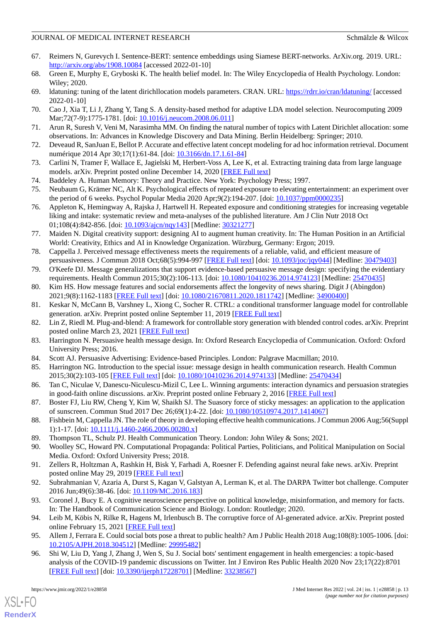- <span id="page-12-0"></span>67. Reimers N, Gurevych I. Sentence-BERT: sentence embeddings using Siamese BERT-networks. ArXiv.org. 2019. URL: <http://arxiv.org/abs/1908.10084> [accessed 2022-01-10]
- <span id="page-12-2"></span><span id="page-12-1"></span>68. Green E, Murphy E, Gryboski K. The health belief model. In: The Wiley Encyclopedia of Health Psychology. London: Wiley; 2020.
- 69. ldatuning: tuning of the latent dirichllocation models parameters. CRAN. URL:<https://rdrr.io/cran/ldatuning/> [accessed 2022-01-10]
- 70. Cao J, Xia T, Li J, Zhang Y, Tang S. A density-based method for adaptive LDA model selection. Neurocomputing 2009 Mar;72(7-9):1775-1781. [doi: [10.1016/j.neucom.2008.06.011](http://dx.doi.org/10.1016/j.neucom.2008.06.011)]
- 71. Arun R, Suresh V, Veni M, Narasimha MM. On finding the natural number of topics with Latent Dirichlet allocation: some observations. In: Advances in Knowledge Discovery and Data Mining. Berlin Heidelberg: Springer; 2010.
- <span id="page-12-3"></span>72. Deveaud R, SanJuan E, Bellot P. Accurate and effective latent concept modeling for ad hoc information retrieval. Document numérique 2014 Apr 30;17(1):61-84. [doi: [10.3166/dn.17.1.61-84](http://dx.doi.org/10.3166/dn.17.1.61-84)]
- <span id="page-12-4"></span>73. Carlini N, Tramer F, Wallace E, Jagielski M, Herbert-Voss A, Lee K, et al. Extracting training data from large language models. arXiv. Preprint posted online December 14, 2020 [\[FREE Full text\]](http://arxiv.org/abs/2012.07805)
- 74. Baddeley A. Human Memory: Theory and Practice. New York: Psychology Press; 1997.
- <span id="page-12-5"></span>75. Neubaum G, Krämer NC, Alt K. Psychological effects of repeated exposure to elevating entertainment: an experiment over the period of 6 weeks. Psychol Popular Media 2020 Apr;9(2):194-207. [doi: [10.1037/ppm0000235\]](http://dx.doi.org/10.1037/ppm0000235)
- <span id="page-12-6"></span>76. Appleton K, Hemingway A, Rajska J, Hartwell H. Repeated exposure and conditioning strategies for increasing vegetable liking and intake: systematic review and meta-analyses of the published literature. Am J Clin Nutr 2018 Oct 01;108(4):842-856. [doi: [10.1093/ajcn/nqy143](http://dx.doi.org/10.1093/ajcn/nqy143)] [Medline: [30321277\]](http://www.ncbi.nlm.nih.gov/entrez/query.fcgi?cmd=Retrieve&db=PubMed&list_uids=30321277&dopt=Abstract)
- <span id="page-12-7"></span>77. Maiden N. Digital creativity support: designing AI to augment human creativity. In: The Human Position in an Artificial World: Creativity, Ethics and AI in Knowledge Organization. Würzburg, Germany: Ergon; 2019.
- <span id="page-12-8"></span>78. Cappella J. Perceived message effectiveness meets the requirements of a reliable, valid, and efficient measure of persuasiveness. J Commun 2018 Oct;68(5):994-997 [[FREE Full text](http://europepmc.org/abstract/MED/30479403)] [doi: [10.1093/joc/jqy044\]](http://dx.doi.org/10.1093/joc/jqy044) [Medline: [30479403\]](http://www.ncbi.nlm.nih.gov/entrez/query.fcgi?cmd=Retrieve&db=PubMed&list_uids=30479403&dopt=Abstract)
- <span id="page-12-9"></span>79. O'Keefe DJ. Message generalizations that support evidence-based persuasive message design: specifying the evidentiary requirements. Health Commun 2015;30(2):106-113. [doi: [10.1080/10410236.2014.974123\]](http://dx.doi.org/10.1080/10410236.2014.974123) [Medline: [25470435\]](http://www.ncbi.nlm.nih.gov/entrez/query.fcgi?cmd=Retrieve&db=PubMed&list_uids=25470435&dopt=Abstract)
- <span id="page-12-10"></span>80. Kim HS. How message features and social endorsements affect the longevity of news sharing. Digit J (Abingdon) 2021;9(8):1162-1183 [[FREE Full text](http://europepmc.org/abstract/MED/34900400)] [doi: [10.1080/21670811.2020.1811742\]](http://dx.doi.org/10.1080/21670811.2020.1811742) [Medline: [34900400\]](http://www.ncbi.nlm.nih.gov/entrez/query.fcgi?cmd=Retrieve&db=PubMed&list_uids=34900400&dopt=Abstract)
- <span id="page-12-11"></span>81. Keskar N, McCann B, Varshney L, Xiong C, Socher R. CTRL: a conditional transformer language model for controllable generation. arXiv. Preprint posted online September 11, 2019 [[FREE Full text\]](http://arxiv.org/abs/1909.05858)
- <span id="page-12-12"></span>82. Lin Z, Riedl M. Plug-and-blend: A framework for controllable story generation with blended control codes. arXiv. Preprint posted online March 23, 2021 [\[FREE Full text](http://arxiv.org/abs/2104.04039)]
- <span id="page-12-13"></span>83. Harrington N. Persuasive health message design. In: Oxford Research Encyclopedia of Communication. Oxford: Oxford University Press; 2016.
- 84. Scott AJ. Persuasive Advertising: Evidence-based Principles. London: Palgrave Macmillan; 2010.
- <span id="page-12-14"></span>85. Harrington NG. Introduction to the special issue: message design in health communication research. Health Commun 2015;30(2):103-105 [[FREE Full text](http://europepmc.org/abstract/MED/25470434)] [doi: [10.1080/10410236.2014.974133\]](http://dx.doi.org/10.1080/10410236.2014.974133) [Medline: [25470434\]](http://www.ncbi.nlm.nih.gov/entrez/query.fcgi?cmd=Retrieve&db=PubMed&list_uids=25470434&dopt=Abstract)
- <span id="page-12-15"></span>86. Tan C, Niculae V, Danescu-Niculescu-Mizil C, Lee L. Winning arguments: interaction dynamics and persuasion strategies in good-faith online discussions. arXiv. Preprint posted online February 2, 2016 [\[FREE Full text\]](https://arxiv.org/abs/1602.01103)
- <span id="page-12-17"></span><span id="page-12-16"></span>87. Boster FJ, Liu RW, Cheng Y, Kim W, Shaikh SJ. The Suasory force of sticky messages: an application to the application of sunscreen. Commun Stud 2017 Dec 26;69(1):4-22. [doi: [10.1080/10510974.2017.1414067\]](http://dx.doi.org/10.1080/10510974.2017.1414067)
- 88. Fishbein M, Cappella JN. The role of theory in developing effective health communications. J Commun 2006 Aug;56(Suppl 1):1-17. [doi: [10.1111/j.1460-2466.2006.00280.x\]](http://dx.doi.org/10.1111/j.1460-2466.2006.00280.x)
- 89. Thompson TL, Schulz PJ. Health Communication Theory. London: John Wiley & Sons; 2021.
- <span id="page-12-18"></span>90. Woolley SC, Howard PN. Computational Propaganda: Political Parties, Politicians, and Political Manipulation on Social Media. Oxford: Oxford University Press; 2018.
- <span id="page-12-19"></span>91. Zellers R, Holtzman A, Rashkin H, Bisk Y, Farhadi A, Roesner F. Defending against neural fake news. arXiv. Preprint posted online May 29, 2019 [\[FREE Full text\]](http://arxiv.org/abs/1905.12616)
- <span id="page-12-20"></span>92. Subrahmanian V, Azaria A, Durst S, Kagan V, Galstyan A, Lerman K, et al. The DARPA Twitter bot challenge. Computer 2016 Jun;49(6):38-46. [doi: [10.1109/MC.2016.183\]](http://dx.doi.org/10.1109/MC.2016.183)
- 93. Coronel J, Bucy E. A cognitive neuroscience perspective on political knowledge, misinformation, and memory for facts. In: The Handbook of Communication Science and Biology. London: Routledge; 2020.
- 94. Leib M, Köbis N, Rilke R, Hagens M, Irlenbusch B. The corruptive force of AI-generated advice. arXiv. Preprint posted online February 15, 2021 [\[FREE Full text\]](https://arxiv.org/abs/2102.07536)
- 95. Allem J, Ferrara E. Could social bots pose a threat to public health? Am J Public Health 2018 Aug;108(8):1005-1006. [doi: [10.2105/AJPH.2018.304512\]](http://dx.doi.org/10.2105/AJPH.2018.304512) [Medline: [29995482](http://www.ncbi.nlm.nih.gov/entrez/query.fcgi?cmd=Retrieve&db=PubMed&list_uids=29995482&dopt=Abstract)]
- 96. Shi W, Liu D, Yang J, Zhang J, Wen S, Su J. Social bots' sentiment engagement in health emergencies: a topic-based analysis of the COVID-19 pandemic discussions on Twitter. Int J Environ Res Public Health 2020 Nov 23;17(22):8701 [[FREE Full text](https://www.mdpi.com/resolver?pii=ijerph17228701)] [doi: [10.3390/ijerph17228701](http://dx.doi.org/10.3390/ijerph17228701)] [Medline: [33238567\]](http://www.ncbi.nlm.nih.gov/entrez/query.fcgi?cmd=Retrieve&db=PubMed&list_uids=33238567&dopt=Abstract)